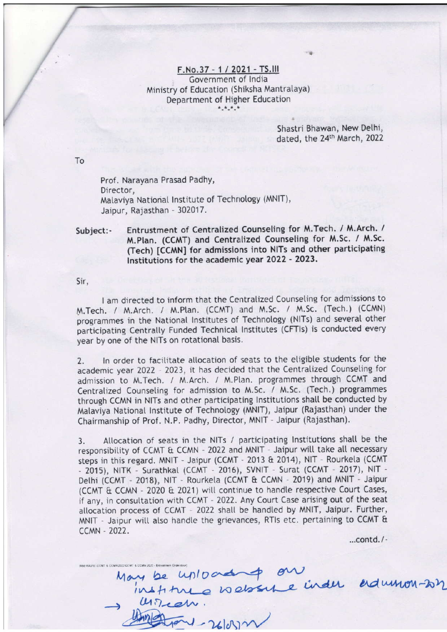## F.No.37 - 1 / 2021 - TS.III 6overnment of lndia Ministry of Education (Shiksha Mantralaya) Department of Higher Education

Shastri Bhawan, New Delhi, dated, the 24<sup>th</sup> March, 2022

To

Prof, Narayana Prasad Padhy, Director, Malaviya National Institute of Technology (MNIT), Jaipur, Rajasthan - 302017.

Subject:- Entrustment of Centralized Counseling for M.Tech. / M.Arch. / M.Plan. (CCMT) and Centralized Counseling for M.Sc. / M.Sc. (Tech) [CCMN] for admissions into NITs and other participating lnstitutions for the academic year 2022 - 2023'

Sir,

I am directed to inform that the Centralized Counseling for admissions to M.Tech. / M.Arch. / M.Plan. (CCMT) and M.Sc. / M.Sc. (Tech.) (CCMN) programmes in the National Institutes of Technology (NITs) and several other participating Centrally Funded Technical Institutes (CFTIs) is conducted every year by one of the NITs on rotational basis.

2. In order to facilitate allocation of seats to the eligible students for the academic year 2022 - 2023, it has decided that the Centralized Counseling for admission to M.Tech. / M.Arch. / M.Plan. programmes through CCMT and Centralized Counseling for admission to M.Sc. / M.Sc. (Tech.) programmes through CCMN in NlTs and other participating lnstitutions shatl be conducted by Malaviya National Institute of Technology (MNIT), Jaipur (Rajasthan) under the Chairmanship of Prof. N.P. Padhy, Director, MNIT - Jaipur (Rajasthan).

3. Allocation of seats in the NITs / participating Institutions shall be the responsibility of CCMT & CCMN - 2022 and MNIT - Jaipur will take all necessary steps in this regard. MNIT - Jaipur (CCMT - 2013 & 2014), NIT - Rourketa (CCMT - 2015), NITK - Surathkal (CCMT - 2016), SVNIT - Surat (CCMT - 2017), NIT -Delhi (CCMT - 2018), NIT - Rourkela (CCMT & CCMN - 2019) and MNIT - Jaipur (CCMT & CCMN - 2020 & 2021) will continue to handle respective Court Cases, if any, in consultation with CCMT - 2022. Any Court Case arising out of the seat allocation process of CCMT - 2022 shall be handled by MNIT, Jaipur. Further, MNIT - Jaipur will also handle the grievances, RTIs etc. pertaining to CCMT & ccMN - 2022'

...contd./-

 $y_{\alpha\gamma}$  be upload on  $\overline{h}$  institute vo elsement  $\rightarrow$  lund  $\rightarrow$ inder adumon-Dr